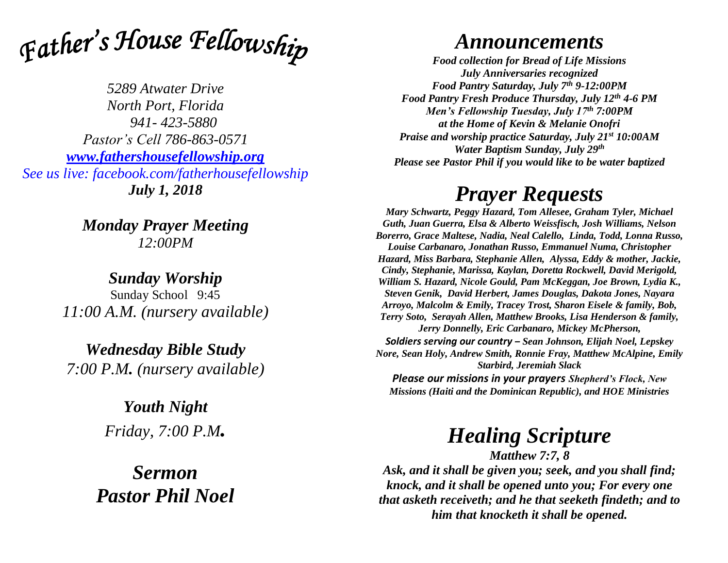Father's House Fellowship

*5289 Atwater Drive North Port, Florida 941- 423-5880 Pastor's Cell 786-863-0571 [www.fathershousefellowship.org](http://www.fathershousefellowship.org/) See us live: facebook.com/fatherhousefellowship July 1, 2018*

> *Monday Prayer Meeting 12:00PM*

*Sunday Worship* Sunday School 9:45 *11:00 A.M. (nursery available)*

*Wednesday Bible Study 7:00 P.M. (nursery available)*

> *Youth Night Friday, 7:00 P.M.*

*Sermon Pastor Phil Noel*

## *Announcements*

*Food collection for Bread of Life Missions July Anniversaries recognized Food Pantry Saturday, July 7th 9-12:00PM Food Pantry Fresh Produce Thursday, July 12th 4-6 PM Men's Fellowship Tuesday, July 17th 7:00PM at the Home of Kevin & Melanie Onofri Praise and worship practice Saturday, July 21st 10:00AM Water Baptism Sunday, July 29th Please see Pastor Phil if you would like to be water baptized*

## *Prayer Requests*

*Mary Schwartz, Peggy Hazard, Tom Allesee, Graham Tyler, Michael Guth, Juan Guerra, Elsa & Alberto Weissfisch, Josh Williams, Nelson Borerro, Grace Maltese, Nadia, Neal Calello, Linda, Todd, Lonna Russo, Louise Carbanaro, Jonathan Russo, Emmanuel Numa, Christopher Hazard, Miss Barbara, Stephanie Allen, Alyssa, Eddy & mother, Jackie, Cindy, Stephanie, Marissa, Kaylan, Doretta Rockwell, David Merigold, William S. Hazard, Nicole Gould, Pam McKeggan, Joe Brown, Lydia K., Steven Genik, David Herbert, James Douglas, Dakota Jones, Nayara Arroyo, Malcolm & Emily, Tracey Trost, Sharon Eisele & family, Bob, Terry Soto, Serayah Allen, Matthew Brooks, Lisa Henderson & family, Jerry Donnelly, Eric Carbanaro, Mickey McPherson, Soldiers serving our country – Sean Johnson, Elijah Noel, Lepskey Nore, Sean Holy, Andrew Smith, Ronnie Fray, Matthew McAlpine, Emily Starbird, Jeremiah Slack Please our missions in your prayers Shepherd's Flock, New Missions (Haiti and the Dominican Republic), and HOE Ministries*

## *Healing Scripture*

*Matthew 7:7, 8 Ask, and it shall be given you; seek, and you shall find; knock, and it shall be opened unto you; For every one that asketh receiveth; and he that seeketh findeth; and to him that knocketh it shall be opened.*